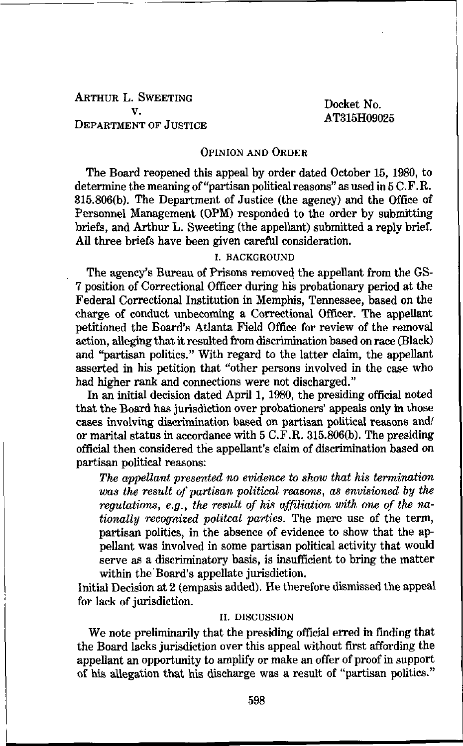# ARTHUR L. SWEETING ~ , . Docke XT t No. DEPARTMENT OF JUSTICE

#### OPINION AND ORDER

The Board reopened this appeal by order dated October 15, 1980, to determine the meaning of "partisan political reasons" as used in 5 C.F.R. 315.806(b). The Department of Justice (the agency) and the Office of Personnel Management (0PM) responded to the order by submitting briefs, and Arthur L. Sweeting (the appellant) submitted a reply brief. All three briefs have been given careful consideration.

## I. BACKGROUND

The agency's Bureau of Prisons removed the appellant from the GS-7 position of Correctional Officer during his probationary period at the Federal Correctional Institution in Memphis, Tennessee, based on the charge of conduct unbecoming a Correctional Officer. The appellant petitioned the Board's Atlanta Field Office for review of the removal action, alleging that it resulted from discrimination based on race (Black) and "partisan politics." With regard to the latter claim, the appellant asserted in his petition that "other persons involved in the case who had higher rank and connections were not discharged."

In an initial decision dated April 1, 1980, the presiding official noted that the Board has jurisdiction over probationers' appeals only in those cases involving discrimination based on partisan political reasons and/ or marital status in accordance with 5 C.F.R. 315.806(b). The presiding official then considered the appellant's claim of discrimination based on partisan political reasons:

The appellant presented no evidence to show that his termination was the result of partisan political reasons, as envisioned by the regulations, e.g., the result of his affiliation with one of the nationally recognized politcal parties. The mere use of the term, partisan politics, in the absence of evidence to show that the appellant was involved in some partisan political activity that would serve as a discriminatory basis, is insufficient to bring the matter within the Board's appellate jurisdiction.

Initial Decision at 2 (empasis added). He therefore dismissed the appeal for lack of jurisdiction.

#### II. DISCUSSION

We note preliminarily that the presiding official erred in finding that the Board lacks jurisdiction over this appeal without first affording the appellant an opportunity to amplify or make an offer of proof in support of his allegation that his discharge was a result of "partisan politics."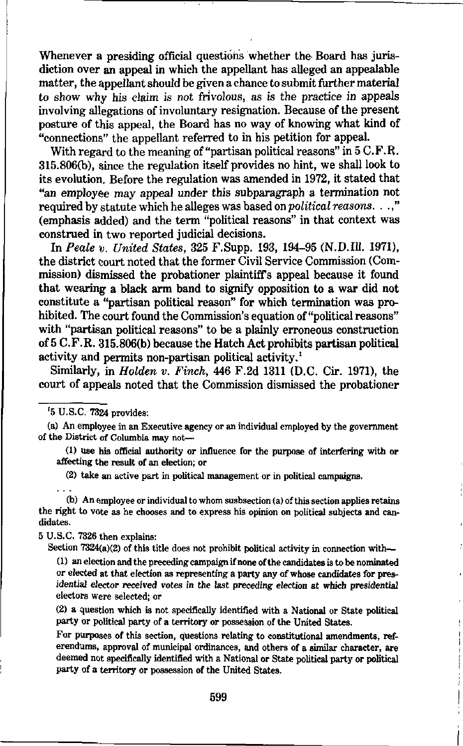Whenever a presiding official questions whether the Board has jurisdiction over an appeal in which the appellant has alleged an appealable matter, the appellant should be given a chance to submit further material to show why his claim is not frivolous, as is the practice in appeals involving allegations of involuntary resignation. Because of the present posture of this appeal, the Board has no way of knowing what kind of "connections" the appellant referred to in his petition for appeal.

With regard to the meaning of "partisan political reasons" in 5 C.F.R. 315.806(b), since the regulation itself provides no hint, we shall look to its evolution. Before the regulation was amended in 1972, it stated that "an employee may appeal under this subparagraph a termination not required by statute which he alleges was based on political reasons, . .," (emphasis added) and the term "political reasons" in that context was construed in two reported judicial decisions.

In Peale v. United States, 325 F.Supp. 193, 194-95 (N.D.I11. 1971), the district court noted that the former Civil Service Commission (Commission) dismissed the probationer plaintiffs appeal because it found that wearing a black arm band to signify opposition to a war did not constitute a "partisan political reason" for which termination was prohibited. The court found the Commission's equation of "political reasons" with "partisan political reasons" to be a plainly erroneous construction of 5 C.F.R. 315.806(b) because the Hatch Act prohibits partisan political activity and permits non-partisan political activity.<sup>1</sup>

Similarly, in Holden v. Finch, 446 F.2d 1311 (D.C. Cir. 1971), the court of appeals noted that the Commission dismissed the probationer

'5 U.S.C. 7324 provides:

(a) An employee in an Executive agency or an individual employed by the government of the District of Columbia may not—

(1) use his official authority or influence for the purpose of interfering with or affecting the result of an election; or

(2) take an active part in political management or in political campaigns.

(b) An employee or individual to whom susbsection (a) of this section applies retains the right to vote as he chooses and to express his opinion on political subjects and candidates.

5 U.S.C. 7326 then explains:

Section 7324(a)(2) of this title does not prohibit political activity in connection with—

(1) an election and the preceding campaign if none of the candidates is to be nominated or elected at that election as representing a party any of whose candidates for presidential elector received votes in the last preceding election at which presidential electors were selected; or

(2) a question which is not specifically identified with a National or State political party or political party of a territory or possession of the United States.

For purposes of this section, questions relating to constitutional amendments, referendums, approval of municipal ordinances, and others of a similar character, are deemed not specifically identified with a National or State political party or political party of a territory or possession of the United States.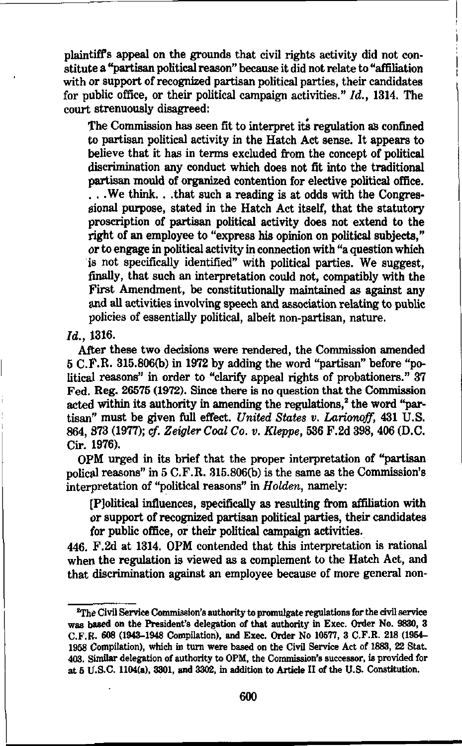plaintiffs appeal on the grounds that civil rights activity did not constitute a "partisan political reason" because it did not relate to "affiliation with or support of recognized partisan political parties, their candidates for public office, or their political campaign activities."  $Id.$ , 1314. The court strenuously disagreed:

The Commission has seen fit to interpret its regulation as confined to partisan political activity in the Hatch Act sense. It appears to believe that it has in terms excluded from the concept of political discrimination any conduct which does not fit into the traditional partisan mould of organized contention for elective political office. . . We think. . .that such a reading is at odds with the Congressional purpose, stated in the Hatch Act itself, that the statutory proscription of partisan political activity does not extend to the right of an employee to "express his opinion on political subjects." or to engage in political activity in connection with "a question which is not specifically identified" with political parties. We suggest, finally, that such an interpretation could not, compatibly with the First Amendment, be constitutionally maintained as against any and all activities involving speech and association relating to public policies of essentially political, albeit non-partisan, nature.

# Id., 1316.

After these two decisions were rendered, the Commission amended 5 C.F.R. 315.806(b) in 1972 by adding the word "partisan" before "political reasons" in order to "clarify appeal rights of probationers." 37 Fed. Reg. 26575 (1972). Since there is no question that the Commission acted within its authority in amending the regulations,<sup>2</sup> the word "partisan" must be given full effect. United States v. Larionoff, 431 U.S. 864, 873 (1977); cf. Zeigler Coal Co. v. Kleppe, 636 F.2d 398, 406 (D.C. Cir. 1976).

0PM urged in its brief that the proper interpretation of "partisan polical reasons" in 5 C.F.R. 315.806(b) is the same as the Commission's interpretation of "political reasons" in Holden, namely:

[Political influences, specifically as resulting from affiliation with or support of recognized partisan political parties, their candidates for public office, or their political campaign activities.

446. F.2d at 1314. 0PM contended that this interpretation is rational when the regulation is viewed as a complement to the Hatch Act, and that discrimination against an employee because of more general non-

 $^{2}$ The Civil Service Commission's authority to promulgate regulations for the civil service was based on the President's delegation of that authority in Exec. Order No. 9830, 3 C.F.B. 608 (1943-1948 Compilation), and Exec. Order No 10577, 3 C.F.R. 218 (1954- 1958 Compilation), which in turn were based on the Civil Service Act of 1883, 22 Stat. 403. Similar delegation of authority to 0PM, the Commission's successor, is provided for at 5 U.S.C. 1104(a), 3301, and 3302, in addition to Article II of the U.S. Constitution.